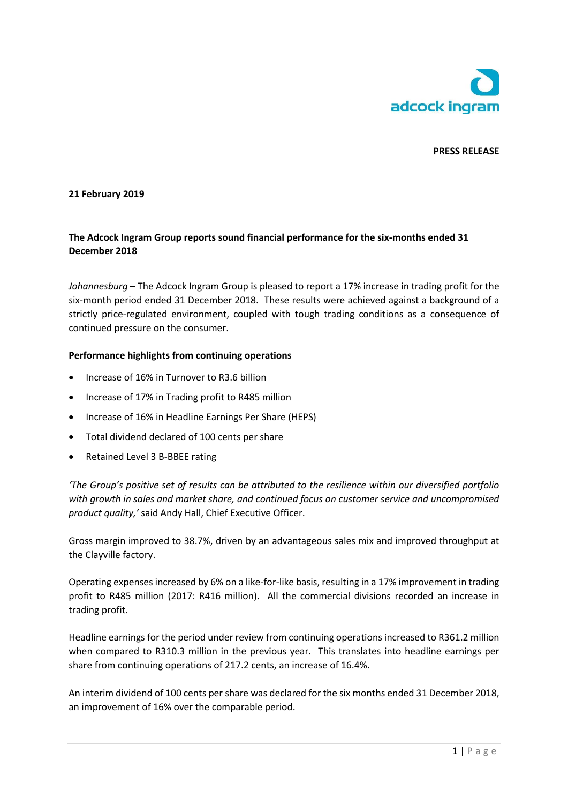

## **PRESS RELEASE**

## **21 February 2019**

# **The Adcock Ingram Group reports sound financial performance for the six-months ended 31 December 2018**

*Johannesburg* – The Adcock Ingram Group is pleased to report a 17% increase in trading profit for the six-month period ended 31 December 2018. These results were achieved against a background of a strictly price-regulated environment, coupled with tough trading conditions as a consequence of continued pressure on the consumer.

#### **Performance highlights from continuing operations**

- Increase of 16% in Turnover to R3.6 billion
- Increase of 17% in Trading profit to R485 million
- Increase of 16% in Headline Earnings Per Share (HEPS)
- Total dividend declared of 100 cents per share
- Retained Level 3 B-BBEE rating

*'The Group's positive set of results can be attributed to the resilience within our diversified portfolio with growth in sales and market share, and continued focus on customer service and uncompromised product quality,'* said Andy Hall, Chief Executive Officer.

Gross margin improved to 38.7%, driven by an advantageous sales mix and improved throughput at the Clayville factory.

Operating expenses increased by 6% on a like-for-like basis, resulting in a 17% improvement in trading profit to R485 million (2017: R416 million). All the commercial divisions recorded an increase in trading profit.

Headline earnings for the period under review from continuing operations increased to R361.2 million when compared to R310.3 million in the previous year. This translates into headline earnings per share from continuing operations of 217.2 cents, an increase of 16.4%.

An interim dividend of 100 cents per share was declared for the six months ended 31 December 2018, an improvement of 16% over the comparable period.